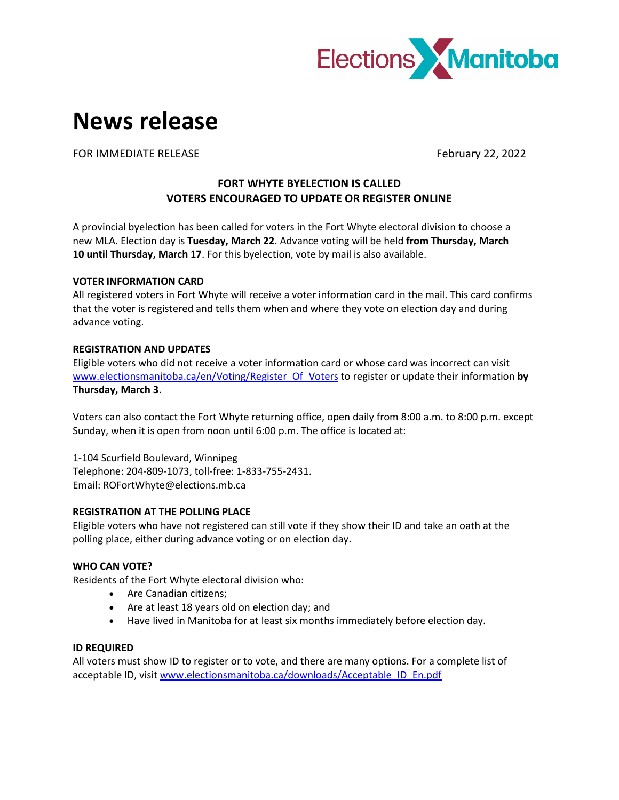

# **News release**

FOR IMMEDIATE RELEASE FOR IMMEDIATE RELEASE

## **FORT WHYTE BYELECTION IS CALLED VOTERS ENCOURAGED TO UPDATE OR REGISTER ONLINE**

A provincial byelection has been called for voters in the Fort Whyte electoral division to choose a new MLA. Election day is **Tuesday, March 22**. Advance voting will be held **from Thursday, March 10 until Thursday, March 17**. For this byelection, vote by mail is also available.

## **VOTER INFORMATION CARD**

All registered voters in Fort Whyte will receive a voter information card in the mail. This card confirms that the voter is registered and tells them when and where they vote on election day and during advance voting.

## **REGISTRATION AND UPDATES**

Eligible voters who did not receive a voter information card or whose card was incorrect can visit [www.electionsmanitoba.ca/en/Voting/Register\\_Of\\_Voters](http://www.electionsmanitoba.ca/en/Voting/Register_Of_Voters) to register or update their information **by Thursday, March 3**.

Voters can also contact the Fort Whyte returning office, open daily from 8:00 a.m. to 8:00 p.m. except Sunday, when it is open from noon until 6:00 p.m. The office is located at:

1-104 Scurfield Boulevard, Winnipeg Telephone: 204-809-1073, toll-free: 1-833-755-2431. Email: ROFortWhyte@elections.mb.ca

## **REGISTRATION AT THE POLLING PLACE**

Eligible voters who have not registered can still vote if they show their ID and take an oath at the polling place, either during advance voting or on election day.

## **WHO CAN VOTE?**

Residents of the Fort Whyte electoral division who:

- Are Canadian citizens;
- Are at least 18 years old on election day; and
- Have lived in Manitoba for at least six months immediately before election day.

## **ID REQUIRED**

All voters must show ID to register or to vote, and there are many options. For a complete list of acceptable ID, visit [www.electionsmanitoba.ca/downloads/Acceptable\\_ID\\_En.pdf](http://www.electionsmanitoba.ca/downloads/Acceptable_ID_En.pdf)